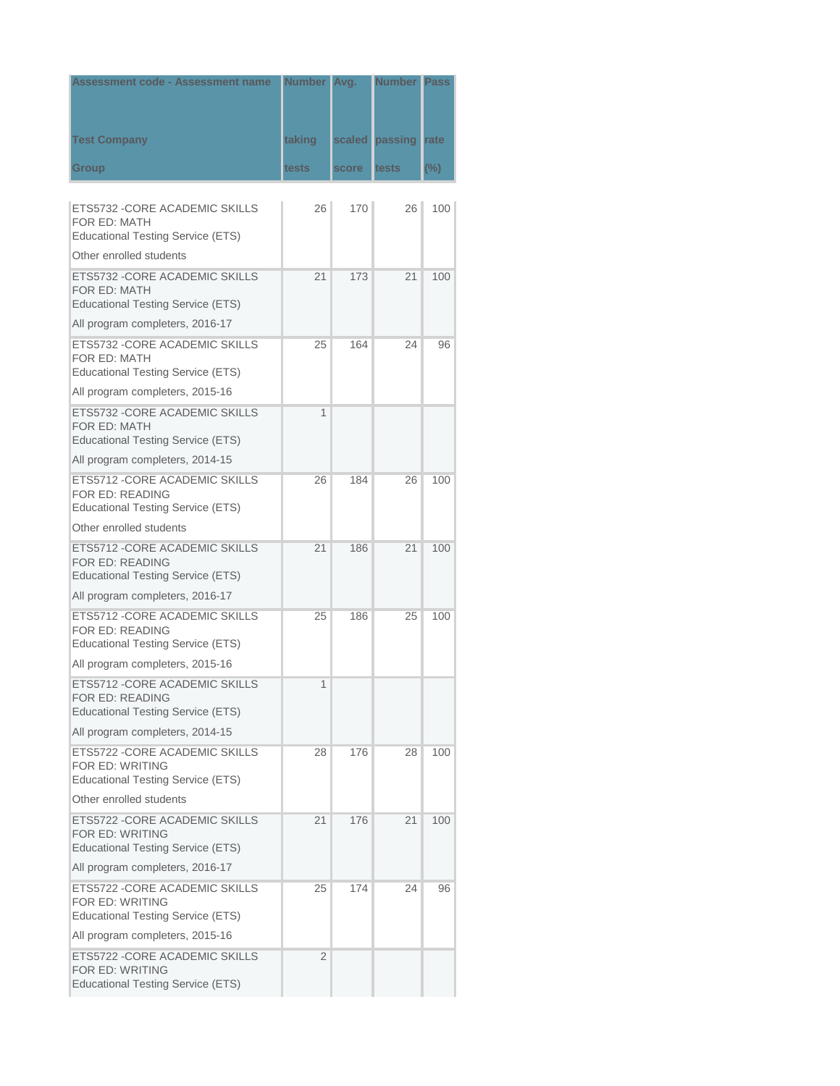| <b>Assessment code - Assessment name</b>                                                      | Number Avg. |        | <b>Number Pass</b> |        |
|-----------------------------------------------------------------------------------------------|-------------|--------|--------------------|--------|
|                                                                                               |             |        |                    |        |
| <b>Test Company</b>                                                                           | taking      | scaled | passing            | rate   |
|                                                                                               |             |        |                    |        |
| Group                                                                                         | tests       | score  | tests              | $(\%)$ |
| ETS5732 -CORE ACADEMIC SKILLS                                                                 | 26          | 170    | 26                 | 100    |
| FOR ED: MATH                                                                                  |             |        |                    |        |
| <b>Educational Testing Service (ETS)</b>                                                      |             |        |                    |        |
| Other enrolled students                                                                       |             |        |                    |        |
| ETS5732 - CORE ACADEMIC SKILLS<br>FOR ED: MATH<br><b>Educational Testing Service (ETS)</b>    | 21          | 173    | 21                 | 100    |
| All program completers, 2016-17                                                               |             |        |                    |        |
| ETS5732 - CORE ACADEMIC SKILLS<br>FOR ED: MATH<br><b>Educational Testing Service (ETS)</b>    | 25          | 164    | 24                 | 96     |
| All program completers, 2015-16                                                               |             |        |                    |        |
| ETS5732 - CORE ACADEMIC SKILLS<br>FOR ED: MATH<br><b>Educational Testing Service (ETS)</b>    | 1           |        |                    |        |
| All program completers, 2014-15                                                               |             |        |                    |        |
| ETS5712 -CORE ACADEMIC SKILLS<br>FOR ED: READING<br>Educational Testing Service (ETS)         | 26          | 184    | 26                 | 100    |
| Other enrolled students                                                                       |             |        |                    |        |
| ETS5712 - CORE ACADEMIC SKILLS<br>FOR ED: READING<br><b>Educational Testing Service (ETS)</b> | 21          | 186    | 21                 | 100    |
| All program completers, 2016-17                                                               |             |        |                    |        |
| ETS5712 - CORE ACADEMIC SKILLS<br>FOR ED: READING<br>Educational Testing Service (ETS)        | 25          | 186    | 25                 | 100    |
| All program completers, 2015-16                                                               |             |        |                    |        |
| ETS5712 - CORE ACADEMIC SKILLS<br>FOR ED: READING<br><b>Educational Testing Service (ETS)</b> | 1           |        |                    |        |
| All program completers, 2014-15                                                               |             |        |                    |        |
| ETS5722 -CORE ACADEMIC SKILLS<br>FOR ED: WRITING<br><b>Educational Testing Service (ETS)</b>  | 28          | 176    | 28                 | 100    |
| Other enrolled students                                                                       |             |        |                    |        |
| ETS5722 - CORE ACADEMIC SKILLS<br>FOR ED: WRITING<br><b>Educational Testing Service (ETS)</b> | 21          | 176    | 21                 | 100    |
| All program completers, 2016-17                                                               |             |        |                    |        |
| ETS5722 -CORE ACADEMIC SKILLS<br>FOR ED: WRITING<br><b>Educational Testing Service (ETS)</b>  | 25          | 174    | 24                 | 96     |
| All program completers, 2015-16                                                               |             |        |                    |        |
| ETS5722 -CORE ACADEMIC SKILLS<br>FOR ED: WRITING<br><b>Educational Testing Service (ETS)</b>  | 2           |        |                    |        |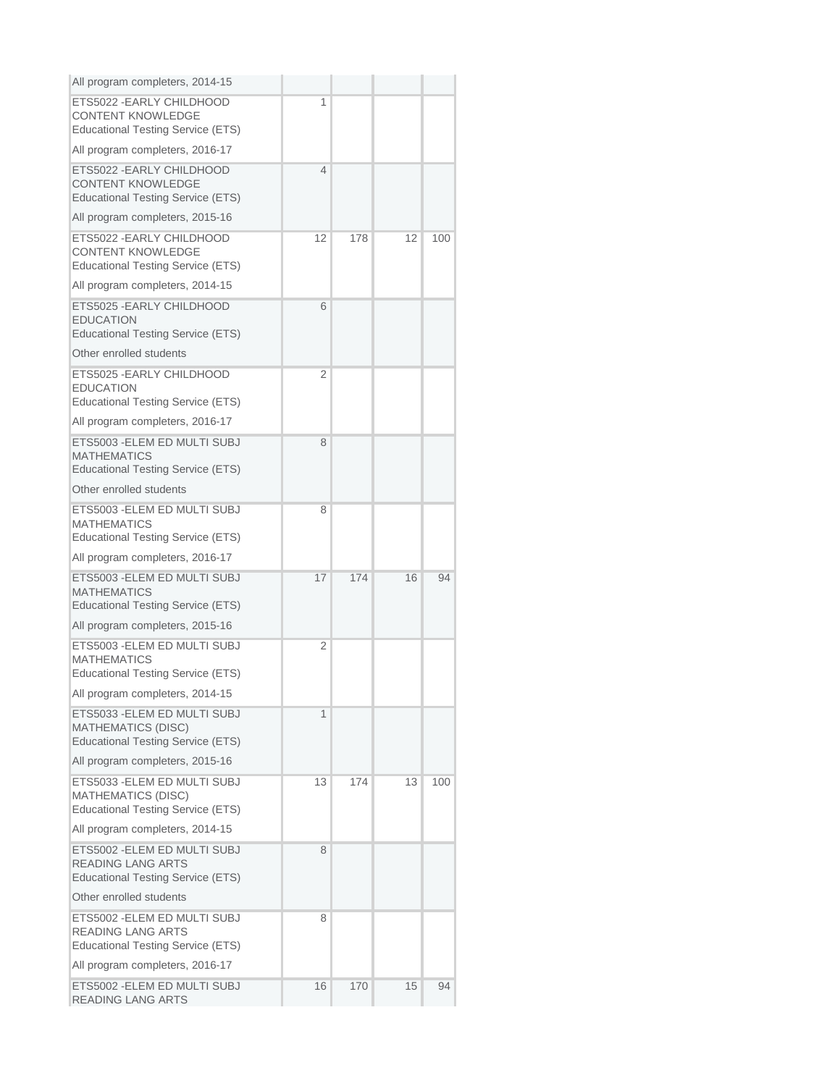| All program completers, 2014-15                                                                       |    |     |    |     |
|-------------------------------------------------------------------------------------------------------|----|-----|----|-----|
| ETS5022 - EARLY CHILDHOOD<br><b>CONTENT KNOWLEDGE</b><br><b>Educational Testing Service (ETS)</b>     | 1  |     |    |     |
| All program completers, 2016-17                                                                       |    |     |    |     |
| ETS5022 - EARLY CHILDHOOD<br><b>CONTENT KNOWLEDGE</b><br>Educational Testing Service (ETS)            | 4  |     |    |     |
| All program completers, 2015-16                                                                       |    |     |    |     |
| ETS5022 - EARLY CHILDHOOD<br><b>CONTENT KNOWLEDGE</b><br><b>Educational Testing Service (ETS)</b>     | 12 | 178 | 12 | 100 |
| All program completers, 2014-15                                                                       |    |     |    |     |
| ETS5025 - EARLY CHILDHOOD<br><b>EDUCATION</b><br><b>Educational Testing Service (ETS)</b>             | 6  |     |    |     |
| Other enrolled students                                                                               |    |     |    |     |
| ETS5025 - EARLY CHILDHOOD<br><b>EDUCATION</b><br><b>Educational Testing Service (ETS)</b>             | 2  |     |    |     |
| All program completers, 2016-17                                                                       |    |     |    |     |
| ETS5003 - ELEM ED MULTI SUBJ<br><b>MATHEMATICS</b><br><b>Educational Testing Service (ETS)</b>        | 8  |     |    |     |
| Other enrolled students                                                                               |    |     |    |     |
| ETS5003 - ELEM ED MULTI SUBJ<br><b>MATHEMATICS</b><br><b>Educational Testing Service (ETS)</b>        | 8  |     |    |     |
| All program completers, 2016-17                                                                       |    |     |    |     |
| ETS5003 - ELEM ED MULTI SUBJ<br><b>MATHEMATICS</b><br><b>Educational Testing Service (ETS)</b>        | 17 | 174 | 16 | 94  |
| All program completers, 2015-16                                                                       |    |     |    |     |
| ETS5003 - ELEM ED MULTI SUBJ<br><b>MATHEMATICS</b><br><b>Educational Testing Service (ETS)</b>        | 2  |     |    |     |
| All program completers, 2014-15                                                                       |    |     |    |     |
| ETS5033 - ELEM ED MULTI SUBJ<br><b>MATHEMATICS (DISC)</b><br><b>Educational Testing Service (ETS)</b> | 1  |     |    |     |
| All program completers, 2015-16                                                                       |    |     |    |     |
| ETS5033 - ELEM ED MULTI SUBJ<br><b>MATHEMATICS (DISC)</b><br><b>Educational Testing Service (ETS)</b> | 13 | 174 | 13 | 100 |
| All program completers, 2014-15                                                                       |    |     |    |     |
| ETS5002 - ELEM ED MULTI SUBJ<br><b>READING LANG ARTS</b><br><b>Educational Testing Service (ETS)</b>  | 8  |     |    |     |
| Other enrolled students                                                                               |    |     |    |     |
| ETS5002 -ELEM ED MULTI SUBJ<br><b>READING LANG ARTS</b><br><b>Educational Testing Service (ETS)</b>   | 8  |     |    |     |
| All program completers, 2016-17                                                                       |    |     |    |     |
| ETS5002 - ELEM ED MULTI SUBJ<br><b>READING LANG ARTS</b>                                              | 16 | 170 | 15 | 94  |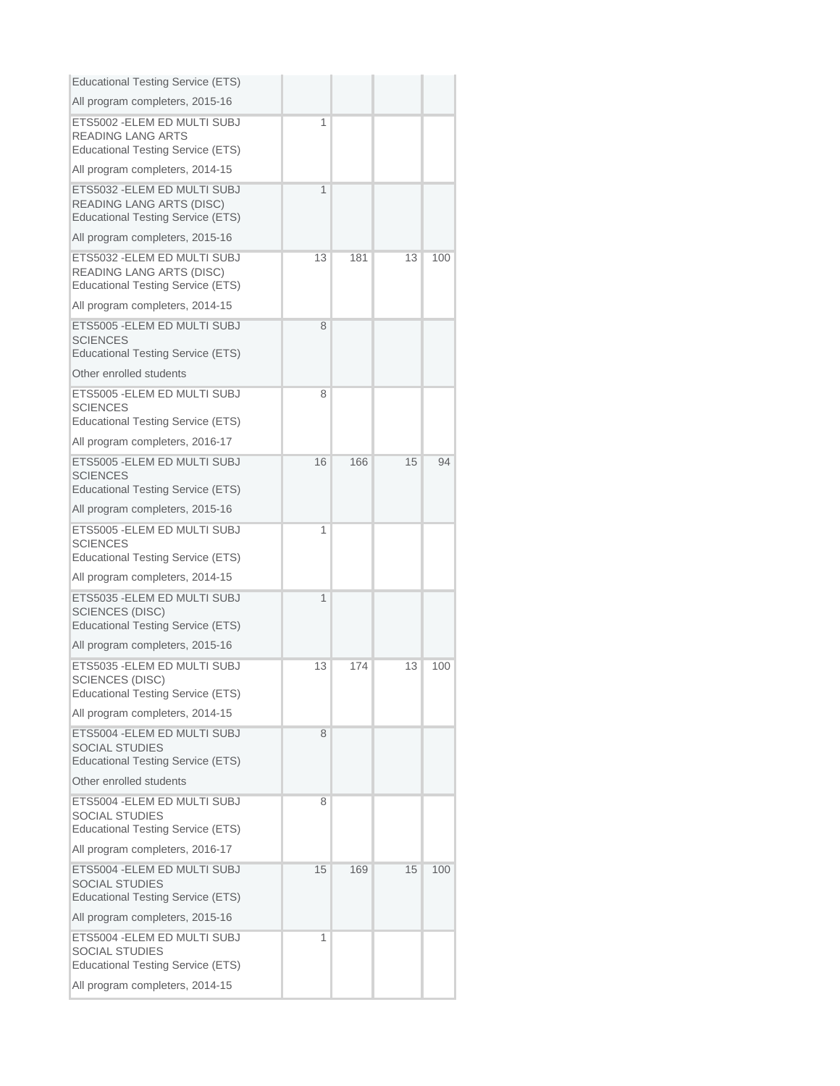| <b>Educational Testing Service (ETS)</b>                                                                    |    |     |    |     |
|-------------------------------------------------------------------------------------------------------------|----|-----|----|-----|
| All program completers, 2015-16                                                                             |    |     |    |     |
| ETS5002 - ELEM ED MULTI SUBJ<br><b>READING LANG ARTS</b><br><b>Educational Testing Service (ETS)</b>        | 1  |     |    |     |
| All program completers, 2014-15                                                                             |    |     |    |     |
| ETS5032 - ELEM ED MULTI SUBJ<br><b>READING LANG ARTS (DISC)</b><br><b>Educational Testing Service (ETS)</b> | 1  |     |    |     |
| All program completers, 2015-16                                                                             |    |     |    |     |
| ETS5032 - ELEM ED MULTI SUBJ<br><b>READING LANG ARTS (DISC)</b><br><b>Educational Testing Service (ETS)</b> | 13 | 181 | 13 | 100 |
| All program completers, 2014-15                                                                             |    |     |    |     |
| ETS5005 - ELEM ED MULTI SUBJ<br><b>SCIENCES</b><br><b>Educational Testing Service (ETS)</b>                 | 8  |     |    |     |
| Other enrolled students                                                                                     |    |     |    |     |
| ETS5005 - ELEM ED MULTI SUBJ<br><b>SCIENCES</b><br><b>Educational Testing Service (ETS)</b>                 | 8  |     |    |     |
| All program completers, 2016-17                                                                             |    |     |    |     |
| ETS5005 - ELEM ED MULTI SUBJ<br><b>SCIENCES</b><br><b>Educational Testing Service (ETS)</b>                 | 16 | 166 | 15 | 94  |
| All program completers, 2015-16                                                                             |    |     |    |     |
| ETS5005 - ELEM ED MULTI SUBJ<br><b>SCIENCES</b><br><b>Educational Testing Service (ETS)</b>                 | 1  |     |    |     |
| All program completers, 2014-15                                                                             |    |     |    |     |
| ETS5035 - ELEM ED MULTI SUBJ<br><b>SCIENCES (DISC)</b><br><b>Educational Testing Service (ETS)</b>          | 1  |     |    |     |
| All program completers, 2015-16                                                                             |    |     |    |     |
| ETS5035 - ELEM ED MULTI SUBJ<br><b>SCIENCES (DISC)</b><br>Educational Testing Service (ETS)                 | 13 | 174 | 13 | 100 |
| All program completers, 2014-15                                                                             |    |     |    |     |
| ETS5004 - ELEM ED MULTI SUBJ<br><b>SOCIAL STUDIES</b><br><b>Educational Testing Service (ETS)</b>           | 8  |     |    |     |
| Other enrolled students                                                                                     |    |     |    |     |
| ETS5004 - ELEM ED MULTI SUBJ<br><b>SOCIAL STUDIES</b><br><b>Educational Testing Service (ETS)</b>           | 8  |     |    |     |
| All program completers, 2016-17                                                                             |    |     |    |     |
| ETS5004 - ELEM ED MULTI SUBJ<br><b>SOCIAL STUDIES</b><br><b>Educational Testing Service (ETS)</b>           | 15 | 169 | 15 | 100 |
| All program completers, 2015-16                                                                             |    |     |    |     |
| ETS5004 - ELEM ED MULTI SUBJ<br><b>SOCIAL STUDIES</b><br><b>Educational Testing Service (ETS)</b>           | 1  |     |    |     |
| All program completers, 2014-15                                                                             |    |     |    |     |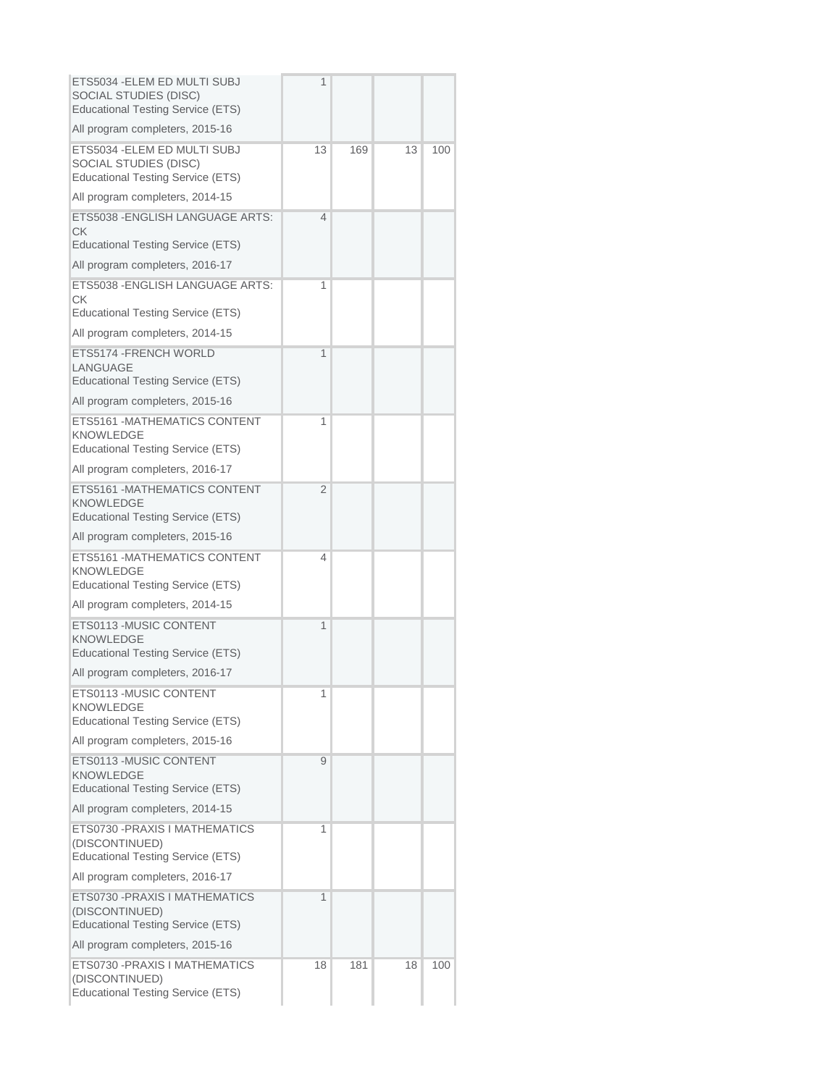| ETS5034 - ELEM ED MULTI SUBJ<br><b>SOCIAL STUDIES (DISC)</b><br><b>Educational Testing Service (ETS)</b> | 1              |     |    |     |
|----------------------------------------------------------------------------------------------------------|----------------|-----|----|-----|
| All program completers, 2015-16                                                                          |                |     |    |     |
| ETS5034 -ELEM ED MULTI SUBJ<br>SOCIAL STUDIES (DISC)<br><b>Educational Testing Service (ETS)</b>         | 13             | 169 | 13 | 100 |
| All program completers, 2014-15                                                                          |                |     |    |     |
| ETS5038 - ENGLISH LANGUAGE ARTS:<br>CK.<br>Educational Testing Service (ETS)                             | $\overline{4}$ |     |    |     |
|                                                                                                          |                |     |    |     |
| All program completers, 2016-17                                                                          |                |     |    |     |
| ETS5038 - ENGLISH LANGUAGE ARTS:<br>СK<br>Educational Testing Service (ETS)                              | 1              |     |    |     |
| All program completers, 2014-15                                                                          |                |     |    |     |
| ETS5174 - FRENCH WORLD<br>LANGUAGE<br><b>Educational Testing Service (ETS)</b>                           | 1              |     |    |     |
| All program completers, 2015-16                                                                          |                |     |    |     |
| ETS5161 - MATHEMATICS CONTENT<br><b>KNOWLEDGE</b><br><b>Educational Testing Service (ETS)</b>            | 1              |     |    |     |
| All program completers, 2016-17                                                                          |                |     |    |     |
| ETS5161 - MATHEMATICS CONTENT<br><b>KNOWLEDGE</b><br><b>Educational Testing Service (ETS)</b>            | $\overline{2}$ |     |    |     |
| All program completers, 2015-16                                                                          |                |     |    |     |
| ETS5161 - MATHEMATICS CONTENT<br><b>KNOWLEDGE</b><br><b>Educational Testing Service (ETS)</b>            | 4              |     |    |     |
| All program completers, 2014-15                                                                          |                |     |    |     |
| ETS0113 -MUSIC CONTENT<br><b>KNOWLEDGE</b><br><b>Educational Testing Service (ETS)</b>                   | 1              |     |    |     |
| All program completers, 2016-17                                                                          |                |     |    |     |
| ETS0113 -MUSIC CONTENT<br>KNOWLEDGE<br><b>Educational Testing Service (ETS)</b>                          | 1              |     |    |     |
| All program completers, 2015-16                                                                          |                |     |    |     |
| ETS0113 - MUSIC CONTENT<br><b>KNOWLEDGE</b><br><b>Educational Testing Service (ETS)</b>                  | 9              |     |    |     |
| All program completers, 2014-15                                                                          |                |     |    |     |
| ETS0730 - PRAXIS I MATHEMATICS<br>(DISCONTINUED)<br><b>Educational Testing Service (ETS)</b>             | 1              |     |    |     |
| All program completers, 2016-17                                                                          |                |     |    |     |
| ETS0730 -PRAXIS I MATHEMATICS<br>(DISCONTINUED)<br><b>Educational Testing Service (ETS)</b>              | 1              |     |    |     |
| All program completers, 2015-16                                                                          |                |     |    |     |
| ETS0730 -PRAXIS I MATHEMATICS<br>(DISCONTINUED)<br><b>Educational Testing Service (ETS)</b>              | 18             | 181 | 18 | 100 |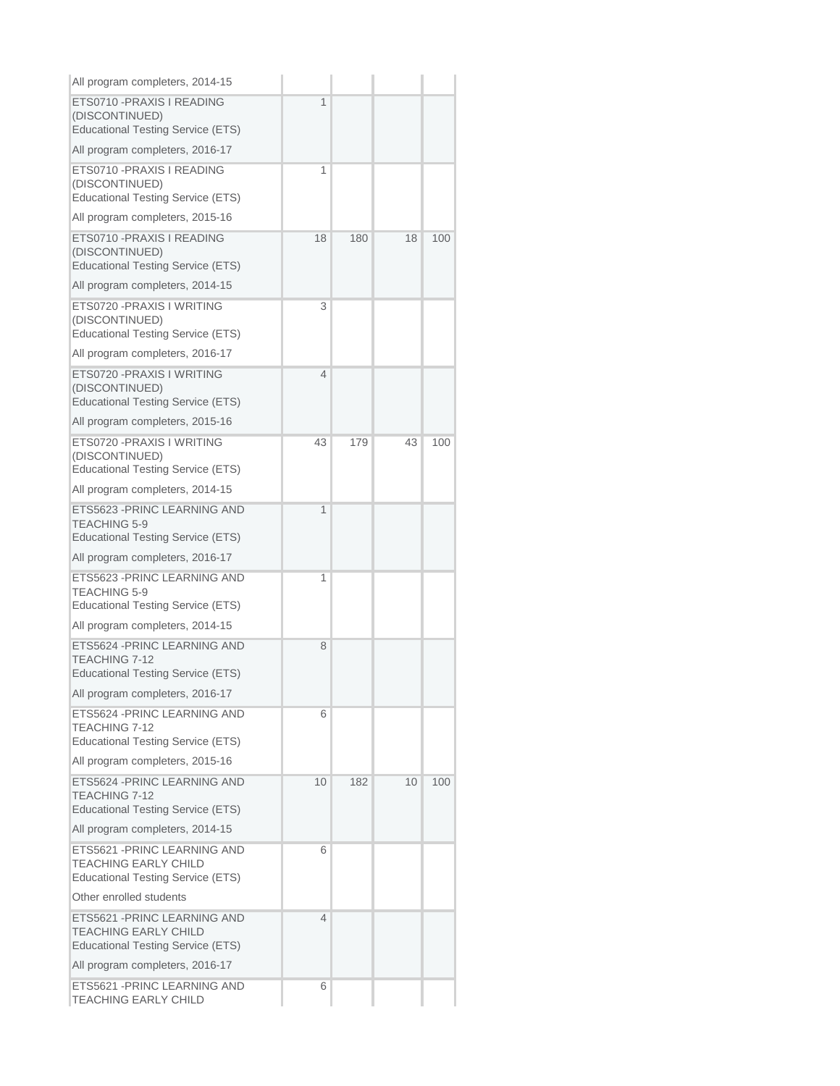| All program completers, 2014-15                                                                         |    |     |    |     |
|---------------------------------------------------------------------------------------------------------|----|-----|----|-----|
| ETS0710 - PRAXIS I READING<br>(DISCONTINUED)<br><b>Educational Testing Service (ETS)</b>                | 1  |     |    |     |
| All program completers, 2016-17                                                                         |    |     |    |     |
| ETS0710 - PRAXIS I READING<br>(DISCONTINUED)<br><b>Educational Testing Service (ETS)</b>                | 1  |     |    |     |
| All program completers, 2015-16                                                                         |    |     |    |     |
| ETS0710 - PRAXIS I READING<br>(DISCONTINUED)<br><b>Educational Testing Service (ETS)</b>                | 18 | 180 | 18 | 100 |
| All program completers, 2014-15                                                                         |    |     |    |     |
| ETS0720 - PRAXIS I WRITING<br>(DISCONTINUED)<br><b>Educational Testing Service (ETS)</b>                | 3  |     |    |     |
| All program completers, 2016-17                                                                         |    |     |    |     |
| ETS0720 - PRAXIS I WRITING<br>(DISCONTINUED)<br><b>Educational Testing Service (ETS)</b>                | 4  |     |    |     |
| All program completers, 2015-16                                                                         |    |     |    |     |
| ETS0720 - PRAXIS I WRITING<br>(DISCONTINUED)<br><b>Educational Testing Service (ETS)</b>                | 43 | 179 | 43 | 100 |
| All program completers, 2014-15                                                                         |    |     |    |     |
| ETS5623 - PRINC LEARNING AND<br><b>TEACHING 5-9</b><br><b>Educational Testing Service (ETS)</b>         | 1  |     |    |     |
| All program completers, 2016-17                                                                         |    |     |    |     |
| ETS5623 - PRINC LEARNING AND<br><b>TEACHING 5-9</b><br><b>Educational Testing Service (ETS)</b>         | 1  |     |    |     |
| All program completers, 2014-15                                                                         |    |     |    |     |
| ETS5624 - PRINC LEARNING AND<br>TEACHING 7-12<br><b>Educational Testing Service (ETS)</b>               | 8  |     |    |     |
| All program completers, 2016-17                                                                         |    |     |    |     |
| ETS5624 - PRINC LEARNING AND<br>TEACHING 7-12<br><b>Educational Testing Service (ETS)</b>               | 6  |     |    |     |
| All program completers, 2015-16                                                                         |    |     |    |     |
| ETS5624 - PRINC LEARNING AND<br>TEACHING 7-12<br><b>Educational Testing Service (ETS)</b>               | 10 | 182 | 10 | 100 |
| All program completers, 2014-15                                                                         |    |     |    |     |
| ETS5621 - PRINC LEARNING AND<br><b>TEACHING EARLY CHILD</b><br><b>Educational Testing Service (ETS)</b> | 6  |     |    |     |
| Other enrolled students                                                                                 |    |     |    |     |
| ETS5621 - PRINC LEARNING AND<br><b>TEACHING EARLY CHILD</b><br><b>Educational Testing Service (ETS)</b> | 4  |     |    |     |
| All program completers, 2016-17                                                                         |    |     |    |     |
| ETS5621 - PRINC LEARNING AND<br><b>TEACHING EARLY CHILD</b>                                             | 6  |     |    |     |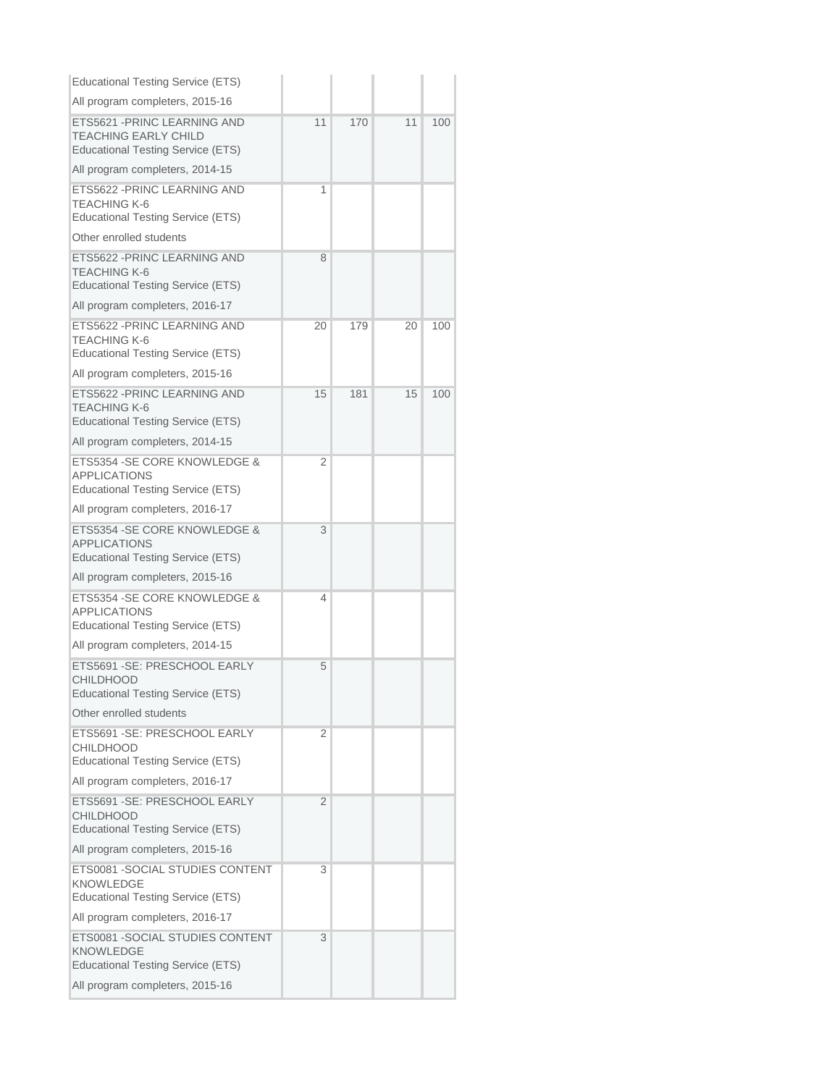| <b>Educational Testing Service (ETS)</b>                                                                |    |     |    |     |
|---------------------------------------------------------------------------------------------------------|----|-----|----|-----|
| All program completers, 2015-16                                                                         |    |     |    |     |
| ETS5621 - PRINC LEARNING AND<br><b>TEACHING EARLY CHILD</b><br><b>Educational Testing Service (ETS)</b> | 11 | 170 | 11 | 100 |
| All program completers, 2014-15                                                                         |    |     |    |     |
| ETS5622 - PRINC LEARNING AND<br>TEACHING K-6<br><b>Educational Testing Service (ETS)</b>                | 1  |     |    |     |
| Other enrolled students                                                                                 |    |     |    |     |
| ETS5622 - PRINC LEARNING AND<br><b>TEACHING K-6</b><br><b>Educational Testing Service (ETS)</b>         | 8  |     |    |     |
| All program completers, 2016-17                                                                         |    |     |    |     |
| ETS5622 - PRINC LEARNING AND<br><b>TEACHING K-6</b><br><b>Educational Testing Service (ETS)</b>         | 20 | 179 | 20 | 100 |
| All program completers, 2015-16                                                                         |    |     |    |     |
| ETS5622 - PRINC LEARNING AND<br><b>TEACHING K-6</b><br><b>Educational Testing Service (ETS)</b>         | 15 | 181 | 15 | 100 |
| All program completers, 2014-15                                                                         |    |     |    |     |
| ETS5354 - SE CORE KNOWLEDGE &<br><b>APPLICATIONS</b><br><b>Educational Testing Service (ETS)</b>        | 2  |     |    |     |
| All program completers, 2016-17                                                                         |    |     |    |     |
| ETS5354 - SE CORE KNOWLEDGE &<br><b>APPLICATIONS</b><br><b>Educational Testing Service (ETS)</b>        | 3  |     |    |     |
| All program completers, 2015-16                                                                         |    |     |    |     |
| ETS5354 - SE CORE KNOWLEDGE &<br><b>APPLICATIONS</b><br><b>Educational Testing Service (ETS)</b>        | 4  |     |    |     |
| All program completers, 2014-15                                                                         |    |     |    |     |
| ETS5691 - SE: PRESCHOOL EARLY<br><b>CHILDHOOD</b><br><b>Educational Testing Service (ETS)</b>           | 5  |     |    |     |
| Other enrolled students                                                                                 |    |     |    |     |
| ETS5691 - SE: PRESCHOOL EARLY<br><b>CHILDHOOD</b><br><b>Educational Testing Service (ETS)</b>           | 2  |     |    |     |
| All program completers, 2016-17                                                                         |    |     |    |     |
| ETS5691 - SE: PRESCHOOL EARLY<br><b>CHILDHOOD</b><br><b>Educational Testing Service (ETS)</b>           | 2  |     |    |     |
| All program completers, 2015-16                                                                         |    |     |    |     |
| ETS0081 - SOCIAL STUDIES CONTENT<br><b>KNOWLEDGE</b><br><b>Educational Testing Service (ETS)</b>        | 3  |     |    |     |
| All program completers, 2016-17                                                                         |    |     |    |     |
| ETS0081 - SOCIAL STUDIES CONTENT<br><b>KNOWLEDGE</b><br><b>Educational Testing Service (ETS)</b>        | 3  |     |    |     |
| All program completers, 2015-16                                                                         |    |     |    |     |